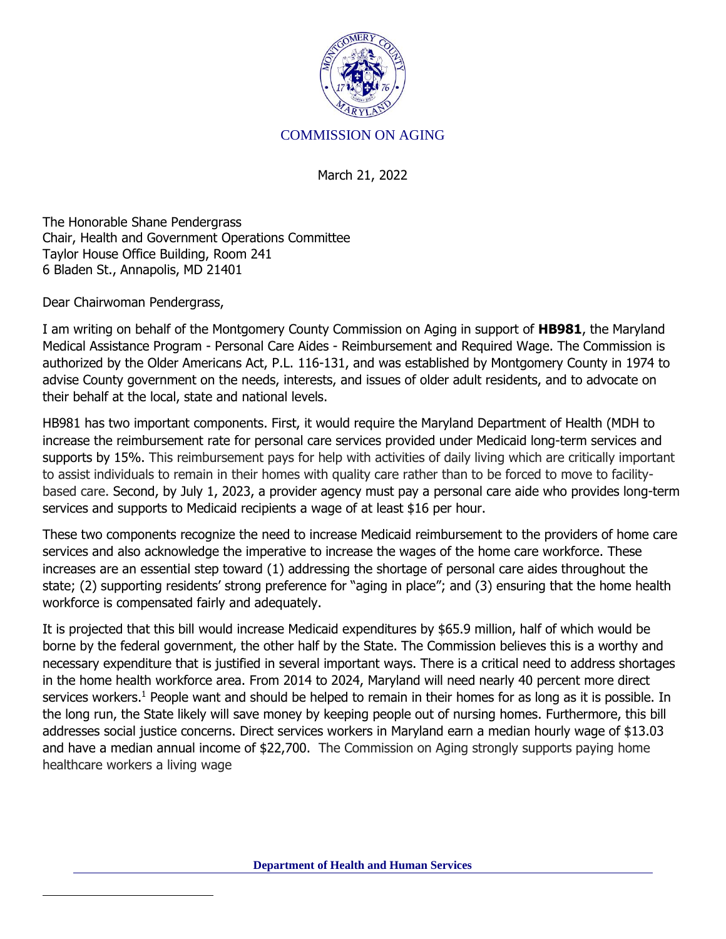

## COMMISSION ON AGING

March 21, 2022

The Honorable Shane Pendergrass Chair, Health and Government Operations Committee Taylor House Office Building, Room 241 6 Bladen St., Annapolis, MD 21401

Dear Chairwoman Pendergrass,

I am writing on behalf of the Montgomery County Commission on Aging in support of **HB981**, the Maryland Medical Assistance Program - Personal Care Aides - Reimbursement and Required Wage. The Commission is authorized by the Older Americans Act, P.L. 116-131, and was established by Montgomery County in 1974 to advise County government on the needs, interests, and issues of older adult residents, and to advocate on their behalf at the local, state and national levels.

HB981 has two important components. First, it would require the Maryland Department of Health (MDH to increase the reimbursement rate for personal care services provided under Medicaid long-term services and supports by 15%. This reimbursement pays for help with activities of daily living which are critically important to assist individuals to remain in their homes with quality care rather than to be forced to move to facilitybased care. Second, by July 1, 2023, a provider agency must pay a personal care aide who provides long-term services and supports to Medicaid recipients a wage of at least \$16 per hour.

These two components recognize the need to increase Medicaid reimbursement to the providers of home care services and also acknowledge the imperative to increase the wages of the home care workforce. These increases are an essential step toward (1) addressing the shortage of personal care aides throughout the state; (2) supporting residents' strong preference for "aging in place"; and (3) ensuring that the home health workforce is compensated fairly and adequately.

It is projected that this bill would increase Medicaid expenditures by \$65.9 million, half of which would be borne by the federal government, the other half by the State. The Commission believes this is a worthy and necessary expenditure that is justified in several important ways. There is a critical need to address shortages in the home health workforce area. From 2014 to 2024, Maryland will need nearly 40 percent more direct services workers.<sup>1</sup> People want and should be helped to remain in their homes for as long as it is possible. In the long run, the State likely will save money by keeping people out of nursing homes. Furthermore, this bill addresses social justice concerns. Direct services workers in Maryland earn a median hourly wage of \$13.03 and have a median annual income of \$22,700. The Commission on Aging strongly supports paying home healthcare workers a living wage